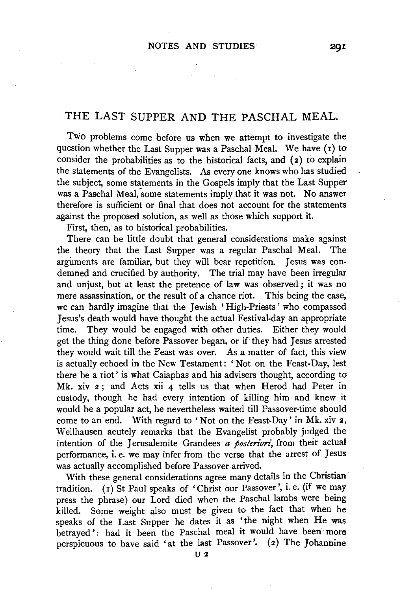## THE LAST SUPPER AND THE PASCHAL MEAL.

Two problems come before us when we attempt to investigate the question whether the Last Supper was a Paschal Meal. We have (r) to consider the probabilities as to the historical facts, and  $(2)$  to explain the statements of the Evangelists. As every one knows who has studied the subject, some statements in the Gospels imply that the Last Supper was a Paschal Meal, some statements imply that it was not. No answer therefore is sufficient or final that does not account for the statements against the proposed solution, as well as those which support it.

First, then, as to historical probabilities.

There can be little doubt that general considerations make against the theory that the Last Supper was a regular Paschal Meal. The arguments are familiar, but they will bear repetition. Jesus was condemned and crucified by authority. The trial may have been irregular and unjust, but at least the pretence of law was observed; it was no mere assassination, or the result of a chance riot. This being the case, we can hardly imagine that the Jewish 'High-Priests' who compassed Jesus's death would have thought the actual Festival-day an appropriate time. They would be engaged with other duties. Either they would get the thing done before Passover began, or if they had Jesus arrested they would wait till the Feast was over. As a matter of fact, this view is actually echoed in the New Testament: 'Not on the Feast-Day, lest there be a riot' is what Caiaphas and his advisers thought, according to Mk. xiv 2; and Acts xii 4 tells us that when Herod had Peter in custody, though he had every intention of killing him and knew it would be a popular act, he nevertheless waited till Passover-time should come to an end. With regard to 'Not on the Feast-Day' in Mk. xiv 2, Wellhausen acutely remarks that the Evangelist probably judged the intention of the Jerusalemite Grandees *a posteriori*, from their actual performance, i. e. we may infer from the verse that the arrest of Jesus was actually accomplished before Passover arrived.

With these general considerations agree many details in the Christian tradition. (1) St Paul speaks of 'Christ our Passover', i.e. (if we may press the phrase) our Lord died when the Paschal lambs were being killed. Some weight also must be given to the fact that when he speaks of the Last Supper he dates it as 'the night when He was betrayed': had it been the Paschal meal it would have been more perspicuous to have said 'at the last Passover'. (2) The Johannine

29I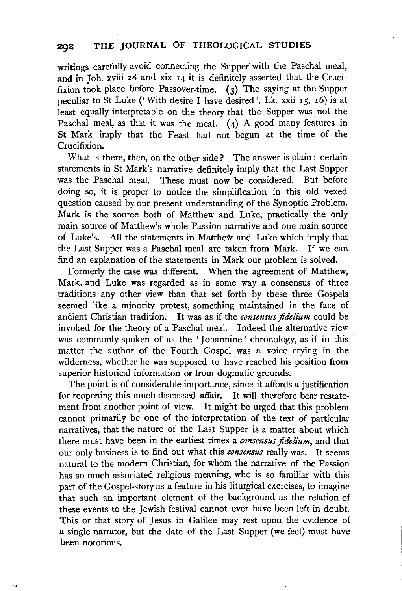writings carefully avoid connecting the Supper with the Paschal meal, and in Joh. xviii 28 and xix 14 it is definitely asserted that the Crucifixion took place before Passover-time. (3) The saying at the Supper peculiar to St Luke(' With desire I have desired', Lk. xxii 15, 16) is at least equally interpretable on the theory that the Supper was not the Paschal meal, as that it was the meal. (4) A good many features in St Mark imply that the Feast had not begun at the time of the Crucifixion.

What is there, then, on the other side? The answer is plain : certain statements in St Mark's narrative definitely imply that the Last Supper was the Paschal meal. These must now be considered. But before doing so, it is proper to notice the simplification in this old vexed question caused by our present understanding of the Synoptic Problem. Mark is the source both of Matthew and Luke, practically the only main source of Matthew's whole Passion narrative and one main source of Luke's. All the statements in Matthew and Luke which imply that the Last Supper was a Paschal meal are taken from Mark. If we· can find an explanation of the statements in Mark our problem is solved.

Formerly the case was different. When the agreement of Matthew, Mark, and Luke was regarded as in some way a consensus of three traditions any other view than that set forth by these three Gospels seemed like a minority protest, something maintained in the face of ancient Christian tradition. It was as if the *consensus jidelium* could be invoked for the theory of a Paschal meal. Indeed the alternative view was commonly spoken of as the 'Johannine' chronology, as if in this matter the author of the Fourth Gospel was a voice crying in the wilderness, whether he was supposed to have reached his position from superior historical information or from dogmatic grounds.

The point is of considerable importance, since it affords a justification for reopening this much-discussed affair. It will therefore bear restatement from another point of view. It might be urged that this problem cannot primarily be one of the interpretation of the text of particular narratives, that the nature of the Last Supper is a matter about which there must have been in the earliest times a *consensus fidelium,* and that our only business is to find out what this *consensus* really was. It seems natural to the modern Christian, for whom the narrative of the Passion has so much associated religious meaning, who is so familiar with this part of the Gospel-story as a feature in his liturgical exercises, to imagine that such an important element of the background as the relation of these events to the Jewish festival cannot ever have been left in doubt. This or that story of Jesus in Galilee may rest upon the evidence of a single narrator, but the date of the Last Supper (we feel) must have been notorious.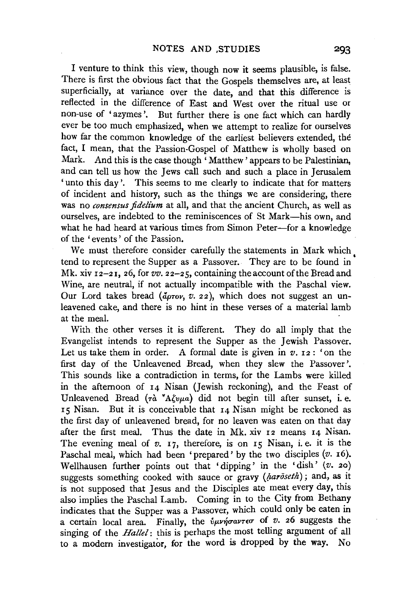I venture to think this view, though now it seems plausible, is false. There is first the obvious fact that the Gospels themselves are, at least superficially, at variance over the date, and that this difference is reflected in the difference of East and West over the ritual use or non-use of 'azymes '. But further there is one fact which can hardly ever be too much emphasized, when we attempt to realize for ourselves how far the common knowledge of the earliest believers extended, the fact, I mean, that the Passion-Gospel of Matthew is wholly based on Mark. And this is the case though 'Matthew' appears to be Palestinian, and can tell us how the Jews call such and such a place in Jerusalem 'unto this day'. This seems to me clearly to indicate that for matters of incident and history, such as the things we are considering, there was no *consensus fidelium* at all, and that the ancient Church, as well as ourselves, are indebted to the reminiscences of St Mark-his own, and what he had heard at various times from Simon Peter-for a knowledge of the 'events ' of the Passion.

We must therefore consider carefully the statements in Mark which tend to represent the Supper as a Passover. They are to be found in Mk. xiv  $12-21$ , 26, for *vv.*  $22-25$ , containing the account of the Bread and Wine, are neutral, if not actually incompatible with the Paschal view. Our Lord takes bread *(d<sub>orov, v.* 22), which does not suggest an un-</sub> leavened cake, and there is no hint in these verses of a material lamb at the meal.

With the other verses it is different. They do all imply that the Evangelist intends to represent the Supper as the Jewish Passover. Let us take them in order. A formal date is given in  $v$ ,  $z$ : 'on the first day of the Unleavened Bread, when they slew the Passover'. This sounds like a contradiction in terms, for the Lambs were killed in the afternoon of 14 Nisan (Jewish reckoning), and the Feast of Unleavened Bread  $(\tau \alpha^* A \zeta v \mu a)$  did not begin till after sunset, i.e. 15 Nisan. But it is conceivable that 14 Nisan might be reckoned as the first day of unleavened bread, for no leaven was eaten on that day after the first meal. Thus the date in Mk. xiv 12 means 14 Nisan. The evening meal of *v*. 17, therefore, is on 15 Nisan, i.e. it is the Paschal meal, which had been 'prepared' by the two disciples  $(v. 16)$ . Wellhausen further points out that 'dipping' in the 'dish'  $(v. 20)$ suggests something cooked with sauce or gravy  $(har\bar{o}seth)$ ; and, as it is not supposed that Jesus and the Disciples ate meat every day, this also implies the Paschal Lamb. Coming in to the City from Bethany indicates that the Supper was a Passover, which could only be eaten in a certain local area. Finally, the *ύμνήσαντεσ* of *v.* 26 suggests the singing of the *Hallet:* this is perhaps the most telling argument of all to a modern investigator, for the word is dropped by the way. No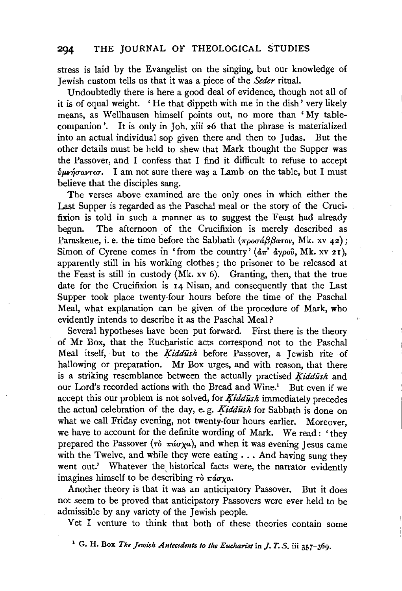stress is laid by the Evangelist on the singing, but our knowledge of Jewish custom tells us that it was a piece of the *Seder* ritual.

Undoubtedly there is here a good deal of evidence, though not all of it is of equal weight. 'He that dippeth with me in the dish' very likely means, as Wellhausen himself points out, no more than 'My tablecompanion '. It is only in Joh. xiii 26 that the phrase is materialized into an actual individual sop given there and then to Judas, But the other details must be held to shew that Mark thought the Supper was the Passover, and I confess that I find it difficult to refuse to accept *νμνήσαντεσ.* I am not sure there was a Lamb on the table, but I must believe that the disciples sang.

The verses above examined are the only ones in which either the Last Supper is regarded as the Paschal meal or the story of the Crucifixion is told in such a manner as to suggest the Feast had already begun. The afternoon of the Crucifixion is merely described as Paraskeue, i. e. the time before the Sabbath ( $\pi \rho \sigma \alpha \beta \beta \sigma \sigma \sigma \nu$ , Mk. xv 42); Simon of Cyrene comes in 'from the country'  $(d\pi^* d\gamma \rho_0 \hat{v})$ , Mk. xv 21), apparently still in his working clothes ; the prisoner to be released at the Feast is still in custody (Mk. xv 6). Granting, then, that the true date for the Crucifixion is 14 Nisan, and consequently that the Last Supper took place twenty-four hours before the time of the Paschal Meal, what explanation can be given of the procedure of Mark, who evidently intends to describe it as the Paschal Meal?

Several hypotheses have been put forward. First there is the theory of Mr Box, that the Eucharistic acts correspond not to the Paschal Meal itself, but to the *Kiddush* before Passover, a Jewish rite of hallowing or preparation. Mr Box urges, and with reason, that there is a striking resemblance between the actually practised *Kiddush* and our Lord's recorded actions with the Bread and Wine.<sup>1</sup> But even if we accept this our problem is not solved, for *Kiddush* immediately precedes the actual celebration of the day, e.g. Kiddush for Sabbath is done on what we call Friday evening, not twenty-four hours earlier. Moreover, we have to account for the definite wording of Mark. We read: 'they prepared the Passover ( $\tau$ )  $\pi$ *áo* $\chi$ a), and when it was evening Jesus came with the Twelve, and while they were eating  $\ldots$  And having sung they went out.' Whatever the historical facts were, the narrator evidently imagines himself to be describing  $\tau\delta \pi \omega \chi a$ .

Another theory is that it was an anticipatory Passover. But it does not seem to be proved that anticipatory Passovers were ever held to be admissible by any variety of the Jewish people.

Yet I venture to think that both of these theories contain some

<sup>1</sup> G. H. Box *The Jewish Antecedents lo the Eucharist* in *J. T. S.* iii 357-369.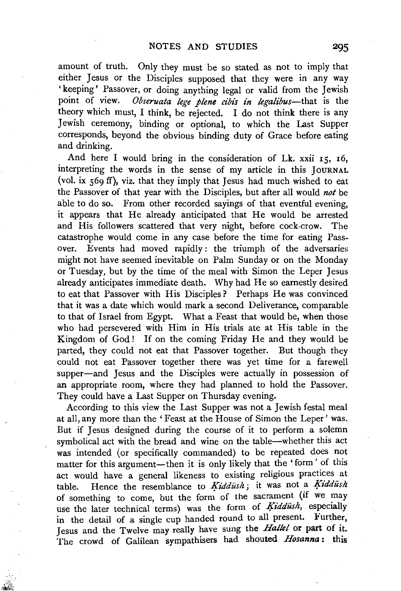amount of truth. Only they must be so stated as not to imply that either Jesus or the Disciples supposed that they were in any way 'keeping' Passover, or doing anything legal or valid from the Jewish point of view. *Obseruata lege plene cibis in legalibus*-that is the theory which must, I think, be rejected. I do not think there is any Jewish ceremony, binding or optional, to which the Last Supper corresponds, beyond the obvious binding duty of Grace before eating and drinking.

And here I would bring in the consideration of Lk. xxii 15, 16, interpreting the words in the sense of my article in this JOURNAL (vol. ix 569 ff), viz. that they imply that Jesus had much wished to eat the Passover of that year with the Disciples, but after all would *not* be able to do so. From other recorded sayings of that eventful evening, it appears that He already anticipated that He would be arrested and His followers scattered that very night, before cock-crow. The catastrophe would come in any case before the time for eating Passover. Events had moved rapidly *:* the triumph of the adversaries might not have seemed inevitable on Palm Sunday or on the Monday or Tuesday, but by the time of the meal with Simon the Leper Jesus already anticipates immediate death. Why had He so earnestly desired to eat that Passover with His Disciples ? Perhaps He was convinced that it was a date which would mark a second Deliverance, comparable to that of Israel from Egypt. What a Feast that would be, when those who had persevered with Him in His trials ate at His table in the Kingdom of God! If on the coming Friday He and they would be parted, they could not eat that Passover together. But though they could not eat Passover together there was yet time for a farewell supper-and Jesus and the Disciples were actually in possession of an appropriate room, where they had planned to hold the Passover. They could have a Last Supper on Thursday evening.

According to this view the Last Supper was not a Jewish festal meal at all, any more than the 'Feast at the House of Simon the Leper' was. But if Jesus designed during the course of it to perform a solemn symbolical act with the bread and wine on the table-whether this act was intended (or specifically commanded) to be repeated does not matter for this argument-then it is only likely that the 'form' of this act would have a general likeness to existing religious practices at table. Hence the resemblance to *Kiddush*; it was not a *Kiddush* of something to come, but the form of the sacrament (if we may use the later technical terms) was the form of *Kiddush*, especially in the detail of a single cup handed round to all present. Further, Jesus and the Twelve may really have sung the *Halle/* or part of it. The crowd of Galilean sympathisers had shouted *Hosanna* : this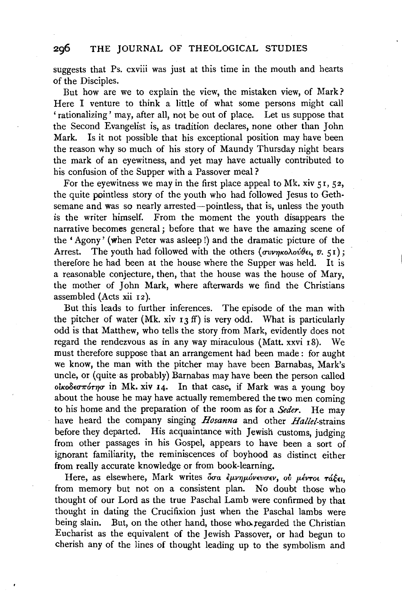## **296** THE JOURNAL OF THEOLOGICAL STUDIES

suggests that Ps. cxviii was just at this time in the mouth and hearts of the Disciples.

But how are we to explain the view, the mistaken view, of Mark? Here I venture to think a little of what some persons might call 'rationalizing' may, after all, not be out of place. Let us suppose that the Second Evangelist is, as tradition declares, none other than John Mark. Is it not possible that his exceptional position may have been the reason why so much of his story of Maundy Thursday night bears the mark of an eyewitness, and yet may have actually contributed to his confusion of the Supper with a Passover meal ?

For the eyewitness we may in the first place appeal to Mk. xiv  $51$ ,  $52$ , the quite pointless story of the youth who had followed Jesus to Geth· semane and was so nearly arrested-pointless, that is, unless the youth is the writer himself. From the moment the youth disappears the narrative becomes general; before that we have the amazing scene of the ' Agony' (when Peter was asleep !) and the dramatic picture of the Arrest. The youth had followed with the others  $(\sigma v \gamma \kappa \omega \omega \omega \theta \epsilon \iota, v. \xi I)$ ; therefore he had been at the house where the Supper was held. It is a reasonable conjecture, then, that the house was the house of Mary, the mother of John Mark, where afterwards we find the Christians assembled (Acts xii 12 ).

But this leads to further inferences. The episode of the man with the pitcher of water (Mk. xiv  $13$  ff) is very odd. What is particularly odd is that Matthew, who tells the story from Mark, evidently does not regard the rendezvous as in any way miraculous (Matt. xxvi 18). We must therefore suppose that an arrangement had been made : for aught we know, the man with the pitcher may have been Barnabas, Mark's uncle, or (quite as probably) Barnabas may have been the person called olκοδεσπότησ in Mk. xiv 14. In that case, if Mark was a young boy about the house he may have actually remembered the two men coming to his home and the preparation of the room as for a *Seder.* He may have heard the company singing *Hosanna* and other *Hallel*-strains before they departed. His acquaintance with Jewish customs, judging from other passages in his Gospel, appears to have been a sort of ignorant familiarity, the reminiscences of boyhood as distinct either from really accurate knowledge or from book-learning.

Here, as elsewhere, Mark writes *oa εμνημόνευσεν*, ου μέντοι τάξει. from memory but not on a consistent plan. No doubt those who thought of our Lord as the true Paschal Lamb were confirmed by that thought in dating the Crucifixion just when the Paschal lambs were being slain. But, on the other hand, those who regarded the Christian Eucharist as the equivalent of the Jewish Passover, or had begun to cherish any of the lines of thought leading up to the symbolism and